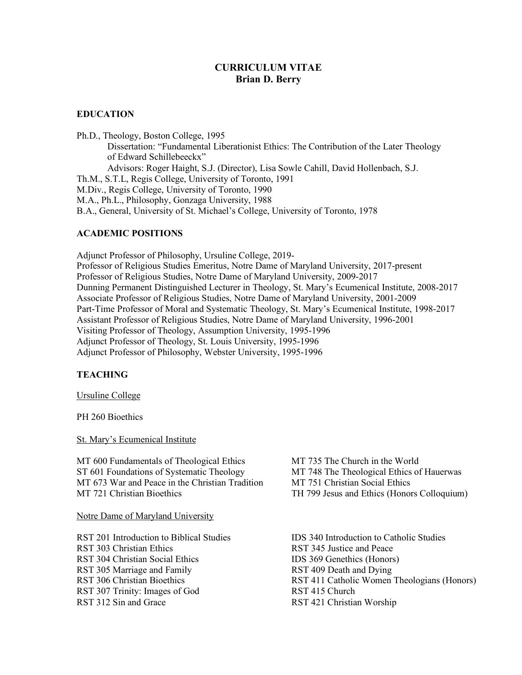# **CURRICULUM VITAE Brian D. Berry**

## **EDUCATION**

Ph.D., Theology, Boston College, 1995 Dissertation: "Fundamental Liberationist Ethics: The Contribution of the Later Theology of Edward Schillebeeckx" Advisors: Roger Haight, S.J. (Director), Lisa Sowle Cahill, David Hollenbach, S.J. Th.M., S.T.L, Regis College, University of Toronto, 1991 M.Div., Regis College, University of Toronto, 1990

M.A., Ph.L., Philosophy, Gonzaga University, 1988

B.A., General, University of St. Michael's College, University of Toronto, 1978

## **ACADEMIC POSITIONS**

Adjunct Professor of Philosophy, Ursuline College, 2019- Professor of Religious Studies Emeritus, Notre Dame of Maryland University, 2017-present Professor of Religious Studies, Notre Dame of Maryland University, 2009-2017 Dunning Permanent Distinguished Lecturer in Theology, St. Mary's Ecumenical Institute, 2008-2017 Associate Professor of Religious Studies, Notre Dame of Maryland University, 2001-2009 Part-Time Professor of Moral and Systematic Theology, St. Mary's Ecumenical Institute, 1998-2017 Assistant Professor of Religious Studies, Notre Dame of Maryland University, 1996-2001 Visiting Professor of Theology, Assumption University, 1995-1996 Adjunct Professor of Theology, St. Louis University, 1995-1996 Adjunct Professor of Philosophy, Webster University, 1995-1996

## **TEACHING**

Ursuline College

PH 260 Bioethics

St. Mary's Ecumenical Institute

MT 600 Fundamentals of Theological Ethics MT 735 The Church in the World ST 601 Foundations of Systematic Theology MT 748 The Theological Ethics of Hauerwas MT 673 War and Peace in the Christian Tradition MT 751 Christian Social Ethics MT 721 Christian Bioethics TH 799 Jesus and Ethics (Honors Colloquium)

Notre Dame of Maryland University

RST 303 Christian Ethics RST 345 Justice and Peace RST 304 Christian Social Ethics IDS 369 Genethics (Honors) RST 305 Marriage and Family RST 409 Death and Dying RST 307 Trinity: Images of God RST 415 Church RST 312 Sin and Grace RST 421 Christian Worship

RST 201 Introduction to Biblical Studies IDS 340 Introduction to Catholic Studies RST 306 Christian Bioethics RST 411 Catholic Women Theologians (Honors)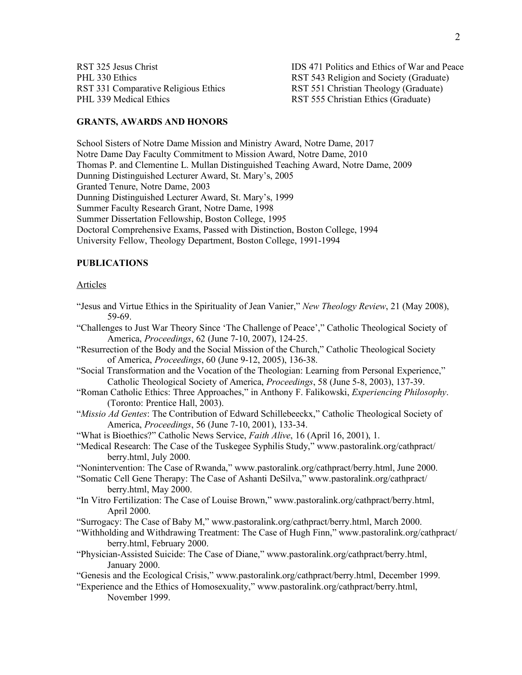PHL 339 Medical Ethics **RST 555 Christian Ethics (Graduate)** 

RST 325 Jesus Christ IDS 471 Politics and Ethics of War and Peace PHL 330 Ethics RST 543 Religion and Society (Graduate) RST 331 Comparative Religious Ethics RST 551 Christian Theology (Graduate)

## **GRANTS, AWARDS AND HONORS**

School Sisters of Notre Dame Mission and Ministry Award, Notre Dame, 2017 Notre Dame Day Faculty Commitment to Mission Award, Notre Dame, 2010 Thomas P. and Clementine L. Mullan Distinguished Teaching Award, Notre Dame, 2009 Dunning Distinguished Lecturer Award, St. Mary's, 2005 Granted Tenure, Notre Dame, 2003 Dunning Distinguished Lecturer Award, St. Mary's, 1999 Summer Faculty Research Grant, Notre Dame, 1998 Summer Dissertation Fellowship, Boston College, 1995 Doctoral Comprehensive Exams, Passed with Distinction, Boston College, 1994 University Fellow, Theology Department, Boston College, 1991-1994

## **PUBLICATIONS**

#### Articles

- "Jesus and Virtue Ethics in the Spirituality of Jean Vanier," *New Theology Review*, 21 (May 2008), 59-69.
- "Challenges to Just War Theory Since 'The Challenge of Peace'," Catholic Theological Society of America, *Proceedings*, 62 (June 7-10, 2007), 124-25.
- "Resurrection of the Body and the Social Mission of the Church," Catholic Theological Society of America, *Proceedings*, 60 (June 9-12, 2005), 136-38.
- "Social Transformation and the Vocation of the Theologian: Learning from Personal Experience," Catholic Theological Society of America, *Proceedings*, 58 (June 5-8, 2003), 137-39.
- "Roman Catholic Ethics: Three Approaches," in Anthony F. Falikowski, *Experiencing Philosophy*. (Toronto: Prentice Hall, 2003).
- "*Missio Ad Gentes*: The Contribution of Edward Schillebeeckx," Catholic Theological Society of America, *Proceedings*, 56 (June 7-10, 2001), 133-34.
- "What is Bioethics?" Catholic News Service, *Faith Alive*, 16 (April 16, 2001), 1.
- "Medical Research: The Case of the Tuskegee Syphilis Study," www.pastoralink.org/cathpract/ berry.html, July 2000.

"Nonintervention: The Case of Rwanda," www.pastoralink.org/cathpract/berry.html, June 2000.

- "Somatic Cell Gene Therapy: The Case of Ashanti DeSilva," www.pastoralink.org/cathpract/ berry.html, May 2000.
- "In Vitro Fertilization: The Case of Louise Brown," www.pastoralink.org/cathpract/berry.html, April 2000.

"Surrogacy: The Case of Baby M," www.pastoralink.org/cathpract/berry.html, March 2000.

- "Withholding and Withdrawing Treatment: The Case of Hugh Finn," www.pastoralink.org/cathpract/ berry.html, February 2000.
- "Physician-Assisted Suicide: The Case of Diane," www.pastoralink.org/cathpract/berry.html, January 2000.
- "Genesis and the Ecological Crisis," www.pastoralink.org/cathpract/berry.html, December 1999.
- "Experience and the Ethics of Homosexuality," www.pastoralink.org/cathpract/berry.html, November 1999.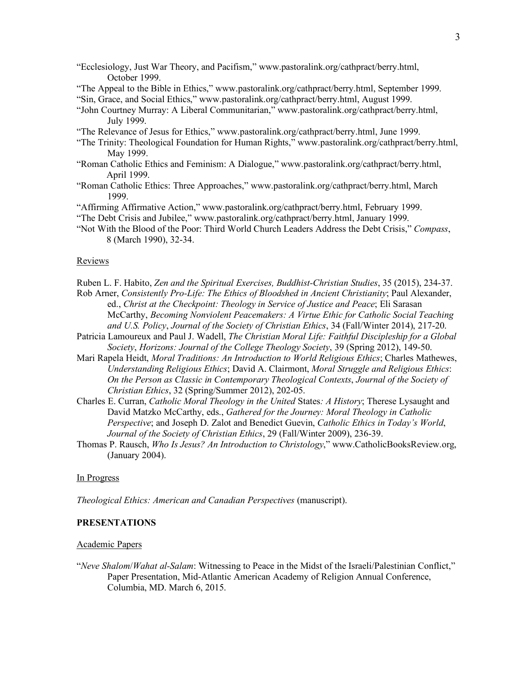- "Ecclesiology, Just War Theory, and Pacifism," www.pastoralink.org/cathpract/berry.html, October 1999.
- "The Appeal to the Bible in Ethics," www.pastoralink.org/cathpract/berry.html, September 1999.
- "Sin, Grace, and Social Ethics," www.pastoralink.org/cathpract/berry.html, August 1999.
- "John Courtney Murray: A Liberal Communitarian," www.pastoralink.org/cathpract/berry.html, July 1999.
- "The Relevance of Jesus for Ethics," www.pastoralink.org/cathpract/berry.html, June 1999.
- "The Trinity: Theological Foundation for Human Rights," www.pastoralink.org/cathpract/berry.html, May 1999.
- "Roman Catholic Ethics and Feminism: A Dialogue," www.pastoralink.org/cathpract/berry.html, April 1999.
- "Roman Catholic Ethics: Three Approaches," www.pastoralink.org/cathpract/berry.html, March 1999.
- "Affirming Affirmative Action," www.pastoralink.org/cathpract/berry.html, February 1999.
- "The Debt Crisis and Jubilee," www.pastoralink.org/cathpract/berry.html, January 1999.
- "Not With the Blood of the Poor: Third World Church Leaders Address the Debt Crisis," *Compass*, 8 (March 1990), 32-34.

#### Reviews

Ruben L. F. Habito, *Zen and the Spiritual Exercises, Buddhist-Christian Studies*, 35 (2015), 234-37.

- Rob Arner, *Consistently Pro-Life: The Ethics of Bloodshed in Ancient Christianity*; Paul Alexander, ed., *Christ at the Checkpoint: Theology in Service of Justice and Peace*; Eli Sarasan McCarthy, *Becoming Nonviolent Peacemakers: A Virtue Ethic for Catholic Social Teaching and U.S. Policy*, *Journal of the Society of Christian Ethics*, 34 (Fall/Winter 2014), 217-20.
- Patricia Lamoureux and Paul J. Wadell, *The Christian Moral Life: Faithful Discipleship for a Global Society*, *Horizons: Journal of the College Theology Society*, 39 (Spring 2012), 149-50.
- Mari Rapela Heidt, *Moral Traditions: An Introduction to World Religious Ethics*; Charles Mathewes, *Understanding Religious Ethics*; David A. Clairmont, *Moral Struggle and Religious Ethics*: *On the Person as Classic in Contemporary Theological Contexts*, *Journal of the Society of Christian Ethics*, 32 (Spring/Summer 2012), 202-05.
- Charles E. Curran, *Catholic Moral Theology in the United* States*: A History*; Therese Lysaught and David Matzko McCarthy, eds., *Gathered for the Journey: Moral Theology in Catholic Perspective*; and Joseph D. Zalot and Benedict Guevin, *Catholic Ethics in Today's World*, *Journal of the Society of Christian Ethics*, 29 (Fall/Winter 2009), 236-39.
- Thomas P. Rausch, *Who Is Jesus? An Introduction to Christology*," www.CatholicBooksReview.org, (January 2004).

### In Progress

*Theological Ethics: American and Canadian Perspectives* (manuscript).

### **PRESENTATIONS**

### Academic Papers

"*Neve Shalom*/*Wahat al-Salam*: Witnessing to Peace in the Midst of the Israeli/Palestinian Conflict," Paper Presentation, Mid-Atlantic American Academy of Religion Annual Conference, Columbia, MD. March 6, 2015.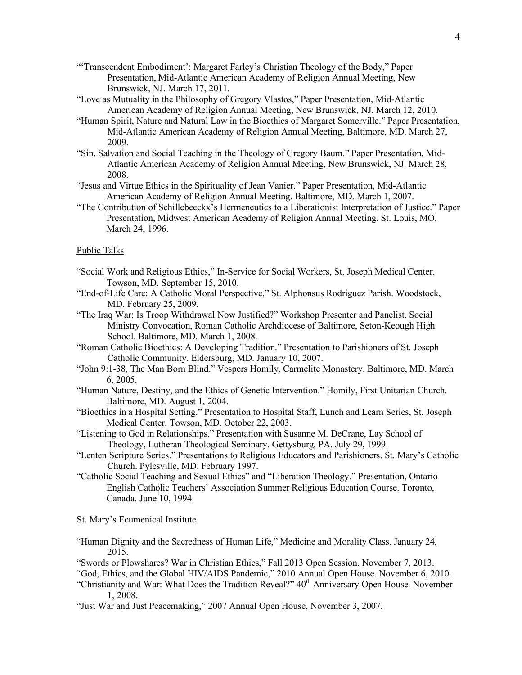- "'Transcendent Embodiment': Margaret Farley's Christian Theology of the Body," Paper Presentation, Mid-Atlantic American Academy of Religion Annual Meeting, New Brunswick, NJ. March 17, 2011.
- "Love as Mutuality in the Philosophy of Gregory Vlastos," Paper Presentation, Mid-Atlantic American Academy of Religion Annual Meeting, New Brunswick, NJ. March 12, 2010.
- "Human Spirit, Nature and Natural Law in the Bioethics of Margaret Somerville." Paper Presentation, Mid-Atlantic American Academy of Religion Annual Meeting, Baltimore, MD. March 27, 2009.
- "Sin, Salvation and Social Teaching in the Theology of Gregory Baum." Paper Presentation, Mid-Atlantic American Academy of Religion Annual Meeting, New Brunswick, NJ. March 28, 2008.
- "Jesus and Virtue Ethics in the Spirituality of Jean Vanier." Paper Presentation, Mid-Atlantic American Academy of Religion Annual Meeting. Baltimore, MD. March 1, 2007.
- "The Contribution of Schillebeeckx's Hermeneutics to a Liberationist Interpretation of Justice." Paper Presentation, Midwest American Academy of Religion Annual Meeting. St. Louis, MO. March 24, 1996.

## Public Talks

- "Social Work and Religious Ethics," In-Service for Social Workers, St. Joseph Medical Center. Towson, MD. September 15, 2010.
- "End-of-Life Care: A Catholic Moral Perspective," St. Alphonsus Rodriguez Parish. Woodstock, MD. February 25, 2009.
- "The Iraq War: Is Troop Withdrawal Now Justified?" Workshop Presenter and Panelist, Social Ministry Convocation, Roman Catholic Archdiocese of Baltimore, Seton-Keough High School. Baltimore, MD. March 1, 2008.
- "Roman Catholic Bioethics: A Developing Tradition." Presentation to Parishioners of St. Joseph Catholic Community. Eldersburg, MD. January 10, 2007.
- "John 9:1-38, The Man Born Blind." Vespers Homily, Carmelite Monastery. Baltimore, MD. March 6, 2005.
- "Human Nature, Destiny, and the Ethics of Genetic Intervention." Homily, First Unitarian Church. Baltimore, MD. August 1, 2004.
- "Bioethics in a Hospital Setting." Presentation to Hospital Staff, Lunch and Learn Series, St. Joseph Medical Center. Towson, MD. October 22, 2003.
- "Listening to God in Relationships." Presentation with Susanne M. DeCrane, Lay School of Theology, Lutheran Theological Seminary. Gettysburg, PA. July 29, 1999.
- "Lenten Scripture Series." Presentations to Religious Educators and Parishioners, St. Mary's Catholic Church. Pylesville, MD. February 1997.
- "Catholic Social Teaching and Sexual Ethics" and "Liberation Theology." Presentation, Ontario English Catholic Teachers' Association Summer Religious Education Course. Toronto, Canada. June 10, 1994.

## St. Mary's Ecumenical Institute

- "Human Dignity and the Sacredness of Human Life," Medicine and Morality Class. January 24, 2015.
- "Swords or Plowshares? War in Christian Ethics," Fall 2013 Open Session. November 7, 2013.
- "God, Ethics, and the Global HIV/AIDS Pandemic," 2010 Annual Open House. November 6, 2010.
- "Christianity and War: What Does the Tradition Reveal?" 40<sup>th</sup> Anniversary Open House. November 1, 2008.
- "Just War and Just Peacemaking," 2007 Annual Open House, November 3, 2007.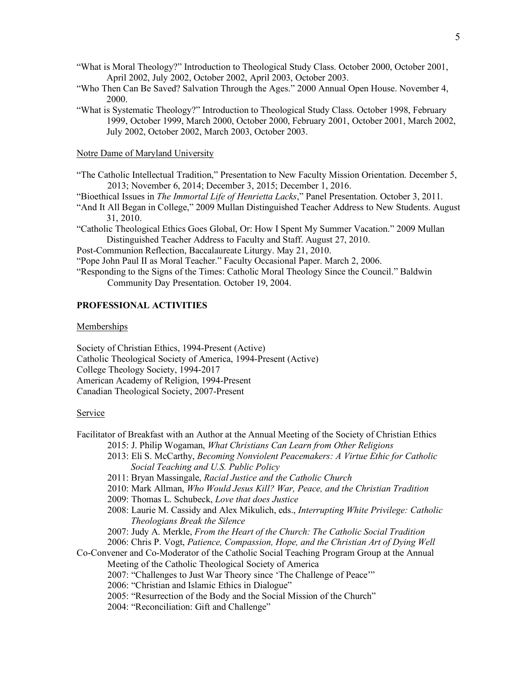- "What is Moral Theology?" Introduction to Theological Study Class. October 2000, October 2001, April 2002, July 2002, October 2002, April 2003, October 2003.
- "Who Then Can Be Saved? Salvation Through the Ages." 2000 Annual Open House. November 4, 2000.
- "What is Systematic Theology?" Introduction to Theological Study Class. October 1998, February 1999, October 1999, March 2000, October 2000, February 2001, October 2001, March 2002, July 2002, October 2002, March 2003, October 2003.

#### Notre Dame of Maryland University

- "The Catholic Intellectual Tradition," Presentation to New Faculty Mission Orientation. December 5, 2013; November 6, 2014; December 3, 2015; December 1, 2016.
- "Bioethical Issues in *The Immortal Life of Henrietta Lacks*," Panel Presentation. October 3, 2011.
- "And It All Began in College," 2009 Mullan Distinguished Teacher Address to New Students. August 31, 2010.
- "Catholic Theological Ethics Goes Global, Or: How I Spent My Summer Vacation." 2009 Mullan Distinguished Teacher Address to Faculty and Staff. August 27, 2010.
- Post-Communion Reflection, Baccalaureate Liturgy. May 21, 2010.
- "Pope John Paul II as Moral Teacher." Faculty Occasional Paper. March 2, 2006.
- "Responding to the Signs of the Times: Catholic Moral Theology Since the Council." Baldwin Community Day Presentation. October 19, 2004.

## **PROFESSIONAL ACTIVITIES**

#### **Memberships**

Society of Christian Ethics, 1994-Present (Active) Catholic Theological Society of America, 1994-Present (Active) College Theology Society, 1994-2017 American Academy of Religion, 1994-Present Canadian Theological Society, 2007-Present

#### Service

- Facilitator of Breakfast with an Author at the Annual Meeting of the Society of Christian Ethics 2015: J. Philip Wogaman, *What Christians Can Learn from Other Religions*
	- 2013: Eli S. McCarthy, *Becoming Nonviolent Peacemakers: A Virtue Ethic for Catholic Social Teaching and U.S. Public Policy*
	- 2011: Bryan Massingale, *Racial Justice and the Catholic Church*
	- 2010: Mark Allman, *Who Would Jesus Kill? War, Peace, and the Christian Tradition*
	- 2009: Thomas L. Schubeck, *Love that does Justice*
	- 2008: Laurie M. Cassidy and Alex Mikulich, eds., *Interrupting White Privilege: Catholic Theologians Break the Silence*
	- 2007: Judy A. Merkle, *From the Heart of the Church: The Catholic Social Tradition*
	- 2006: Chris P. Vogt, *Patience, Compassion, Hope, and the Christian Art of Dying Well*

Co-Convener and Co-Moderator of the Catholic Social Teaching Program Group at the Annual Meeting of the Catholic Theological Society of America

- 2007: "Challenges to Just War Theory since 'The Challenge of Peace'"
- 2006: "Christian and Islamic Ethics in Dialogue"
- 2005: "Resurrection of the Body and the Social Mission of the Church"
- 2004: "Reconciliation: Gift and Challenge"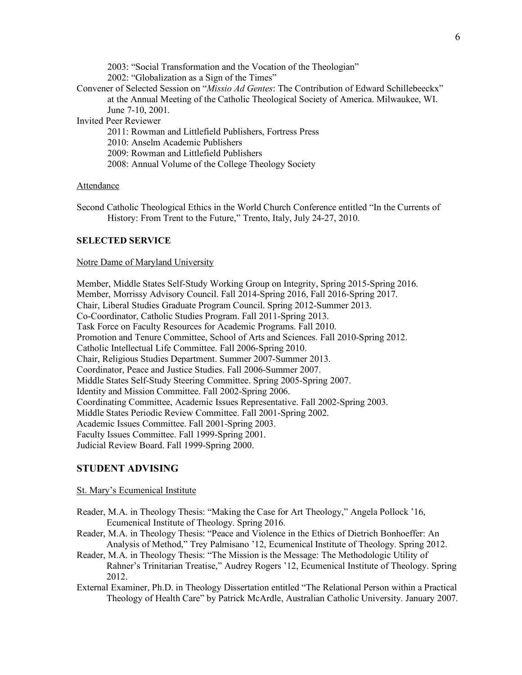2003: "Social Transformation and the Vocation of the Theologian" 2002: "Globalization as a Sign of the Times" Convener of Selected Session on "*Missio Ad Gentes*: The Contribution of Edward Schillebeeckx" at the Annual Meeting of the Catholic Theological Society of America. Milwaukee, WI. June 7-10, 2001. Invited Peer Reviewer 2011: Rowman and Littlefield Publishers, Fortress Press

2010: Anselm Academic Publishers 2009: Rowman and Littlefield Publishers 2008: Annual Volume of the College Theology Society

## Attendance

Second Catholic Theological Ethics in the World Church Conference entitled "In the Currents of History: From Trent to the Future," Trento, Italy, July 24-27, 2010.

### **SELECTED SERVICE**

## Notre Dame of Maryland University

Member, Middle States Self-Study Working Group on Integrity, Spring 2015-Spring 2016. Member, Morrissy Advisory Council. Fall 2014-Spring 2016, Fall 2016-Spring 2017. Chair, Liberal Studies Graduate Program Council. Spring 2012-Summer 2013. Co-Coordinator, Catholic Studies Program. Fall 2011-Spring 2013. Task Force on Faculty Resources for Academic Programs. Fall 2010. Promotion and Tenure Committee, School of Arts and Sciences. Fall 2010-Spring 2012. Catholic Intellectual Life Committee. Fall 2006-Spring 2010. Chair, Religious Studies Department. Summer 2007-Summer 2013. Coordinator, Peace and Justice Studies. Fall 2006-Summer 2007. Middle States Self-Study Steering Committee. Spring 2005-Spring 2007. Identity and Mission Committee. Fall 2002-Spring 2006. Coordinating Committee, Academic Issues Representative. Fall 2002-Spring 2003. Middle States Periodic Review Committee. Fall 2001-Spring 2002. Academic Issues Committee. Fall 2001-Spring 2003. Faculty Issues Committee. Fall 1999-Spring 2001. Judicial Review Board. Fall 1999-Spring 2000.

## **STUDENT ADVISING**

#### St. Mary's Ecumenical Institute

- Reader, M.A. in Theology Thesis: "Making the Case for Art Theology," Angela Pollock '16, Ecumenical Institute of Theology. Spring 2016.
- Reader, M.A. in Theology Thesis: "Peace and Violence in the Ethics of Dietrich Bonhoeffer: An Analysis of Method," Trey Palmisano '12, Ecumenical Institute of Theology. Spring 2012.
- Reader, M.A. in Theology Thesis: "The Mission is the Message: The Methodologic Utility of Rahner's Trinitarian Treatise," Audrey Rogers '12, Ecumenical Institute of Theology. Spring 2012.
- External Examiner, Ph.D. in Theology Dissertation entitled "The Relational Person within a Practical Theology of Health Care" by Patrick McArdle, Australian Catholic University. January 2007.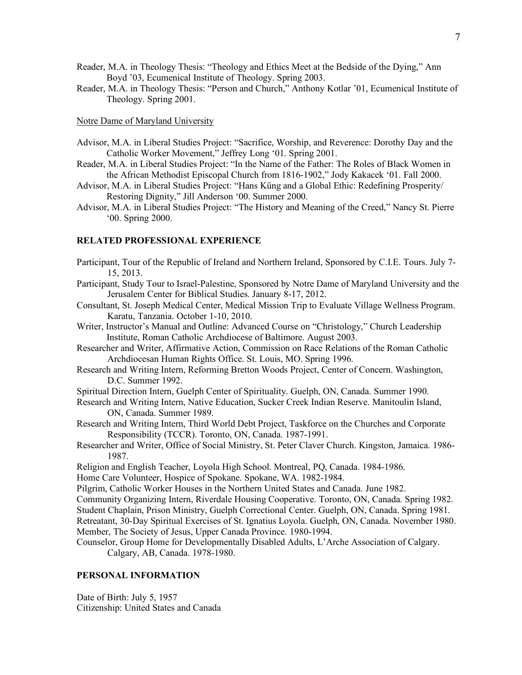- Reader, M.A. in Theology Thesis: "Theology and Ethics Meet at the Bedside of the Dying," Ann Boyd '03, Ecumenical Institute of Theology. Spring 2003.
- Reader, M.A. in Theology Thesis: "Person and Church," Anthony Kotlar '01, Ecumenical Institute of Theology. Spring 2001.

#### Notre Dame of Maryland University

- Advisor, M.A. in Liberal Studies Project: "Sacrifice, Worship, and Reverence: Dorothy Day and the Catholic Worker Movement," Jeffrey Long '01. Spring 2001.
- Reader, M.A. in Liberal Studies Project: "In the Name of the Father: The Roles of Black Women in the African Methodist Episcopal Church from 1816-1902," Jody Kakacek '01. Fall 2000.
- Advisor, M.A. in Liberal Studies Project: "Hans Küng and a Global Ethic: Redefining Prosperity/ Restoring Dignity," Jill Anderson '00. Summer 2000.
- Advisor, M.A. in Liberal Studies Project: "The History and Meaning of the Creed," Nancy St. Pierre '00. Spring 2000.

### **RELATED PROFESSIONAL EXPERIENCE**

- Participant, Tour of the Republic of Ireland and Northern Ireland, Sponsored by C.I.E. Tours. July 7- 15, 2013.
- Participant, Study Tour to Israel-Palestine, Sponsored by Notre Dame of Maryland University and the Jerusalem Center for Biblical Studies. January 8-17, 2012.
- Consultant, St. Joseph Medical Center, Medical Mission Trip to Evaluate Village Wellness Program. Karatu, Tanzania. October 1-10, 2010.
- Writer, Instructor's Manual and Outline: Advanced Course on "Christology," Church Leadership Institute, Roman Catholic Archdiocese of Baltimore. August 2003.
- Researcher and Writer, Affirmative Action, Commission on Race Relations of the Roman Catholic Archdiocesan Human Rights Office. St. Louis, MO. Spring 1996.
- Research and Writing Intern, Reforming Bretton Woods Project, Center of Concern. Washington, D.C. Summer 1992.

Spiritual Direction Intern, Guelph Center of Spirituality. Guelph, ON, Canada. Summer 1990.

- Research and Writing Intern, Native Education, Sucker Creek Indian Reserve. Manitoulin Island, ON, Canada. Summer 1989.
- Research and Writing Intern, Third World Debt Project, Taskforce on the Churches and Corporate Responsibility (TCCR). Toronto, ON, Canada. 1987-1991.
- Researcher and Writer, Office of Social Ministry, St. Peter Claver Church. Kingston, Jamaica. 1986- 1987.
- Religion and English Teacher, Loyola High School. Montreal, PQ, Canada. 1984-1986.

Home Care Volunteer, Hospice of Spokane. Spokane, WA. 1982-1984.

- Pilgrim, Catholic Worker Houses in the Northern United States and Canada. June 1982.
- Community Organizing Intern, Riverdale Housing Cooperative. Toronto, ON, Canada. Spring 1982.
- Student Chaplain, Prison Ministry, Guelph Correctional Center. Guelph, ON, Canada. Spring 1981.

Retreatant, 30-Day Spiritual Exercises of St. Ignatius Loyola. Guelph, ON, Canada. November 1980. Member, The Society of Jesus, Upper Canada Province. 1980-1994.

Counselor, Group Home for Developmentally Disabled Adults, L'Arche Association of Calgary. Calgary, AB, Canada. 1978-1980.

### **PERSONAL INFORMATION**

Date of Birth: July 5, 1957 Citizenship: United States and Canada